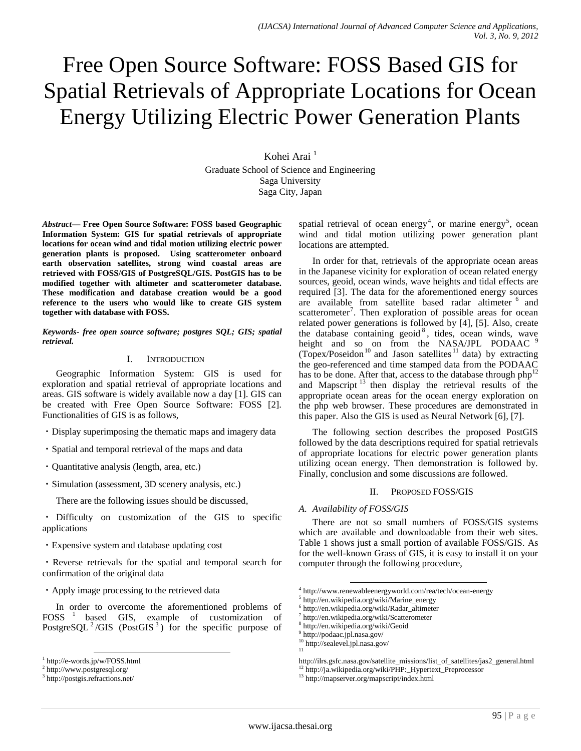# Free Open Source Software: FOSS Based GIS for Spatial Retrievals of Appropriate Locations for Ocean Energy Utilizing Electric Power Generation Plants

Kohei Arai<sup>1</sup> Graduate School of Science and Engineering Saga University Saga City, Japan

*Abstract***— Free Open Source Software: FOSS based Geographic Information System: GIS for spatial retrievals of appropriate locations for ocean wind and tidal motion utilizing electric power generation plants is proposed. Using scatterometer onboard earth observation satellites, strong wind coastal areas are retrieved with FOSS/GIS of PostgreSQL/GIS. PostGIS has to be modified together with altimeter and scatterometer database. These modification and database creation would be a good reference to the users who would like to create GIS system together with database with FOSS.**

*Keywords- free open source software; postgres SQL; GIS; spatial retrieval.*

# I. INTRODUCTION

Geographic Information System: GIS is used for exploration and spatial retrieval of appropriate locations and areas. GIS software is widely available now a day [1]. GIS can be created with Free Open Source Software: FOSS [2]. Functionalities of GIS is as follows,

- ・Display superimposing the thematic maps and imagery data
- ・Spatial and temporal retrieval of the maps and data
- ・Quantitative analysis (length, area, etc.)
- ・Simulation (assessment, 3D scenery analysis, etc.)
	- There are the following issues should be discussed,

・ Difficulty on customization of the GIS to specific applications

・Expensive system and database updating cost

・Reverse retrievals for the spatial and temporal search for confirmation of the original data

・Apply image processing to the retrieved data

In order to overcome the aforementioned problems of FOSS<sup>1</sup> based GIS, example of customization of PostgreSQL<sup>2</sup>/GIS (PostGIS<sup>3</sup>) for the specific purpose of

spatial retrieval of ocean energy<sup>4</sup>, or marine energy<sup>5</sup>, ocean wind and tidal motion utilizing power generation plant locations are attempted.

In order for that, retrievals of the appropriate ocean areas in the Japanese vicinity for exploration of ocean related energy sources, geoid, ocean winds, wave heights and tidal effects are required [3]. The data for the aforementioned energy sources are available from satellite based radar altimeter <sup>6</sup> and scatterometer<sup>7</sup>. Then exploration of possible areas for ocean related power generations is followed by [4], [5]. Also, create the database containing geoid<sup>8</sup>, tides, ocean winds, wave height and so on from the NASA/JPL PODAAC 9 (Topex/Poseidon<sup>10</sup> and Jason satellites<sup>11</sup> data) by extracting the geo-referenced and time stamped data from the PODAAC has to be done. After that, access to the database through  $php<sup>12</sup>$ and Mapscript<sup>13</sup> then display the retrieval results of the appropriate ocean areas for the ocean energy exploration on the php web browser. These procedures are demonstrated in this paper. Also the GIS is used as Neural Network [6], [7].

The following section describes the proposed PostGIS followed by the data descriptions required for spatial retrievals of appropriate locations for electric power generation plants utilizing ocean energy. Then demonstration is followed by. Finally, conclusion and some discussions are followed.

# II. PROPOSED FOSS/GIS

# *A. Availability of FOSS/GIS*

There are not so small numbers of FOSS/GIS systems which are available and downloadable from their web sites. Table 1 shows just a small portion of available FOSS/GIS. As for the well-known Grass of GIS, it is easy to install it on your computer through the following procedure,

l

l 1 http://e-words.jp/w/FOSS.html

<sup>2</sup> http://www.postgresql.org/

<sup>3</sup> http://postgis.refractions.net/

<sup>4</sup> http://www.renewableenergyworld.com/rea/tech/ocean-energy

<sup>5</sup> http://en.wikipedia.org/wiki/Marine\_energy

<sup>6</sup> http://en.wikipedia.org/wiki/Radar\_altimeter

<sup>7</sup> http://en.wikipedia.org/wiki/Scatterometer

<sup>8</sup> http://en.wikipedia.org/wiki/Geoid

<sup>9</sup> http://podaac.jpl.nasa.gov/

 $\frac{10}{11}$  http://sealevel.jpl.nasa.gov/

http://ilrs.gsfc.nasa.gov/satellite\_missions/list\_of\_satellites/jas2\_general.html

<sup>12</sup> http://ja.wikipedia.org/wiki/PHP:\_Hypertext\_Preprocessor

<sup>13</sup> http://mapserver.org/mapscript/index.html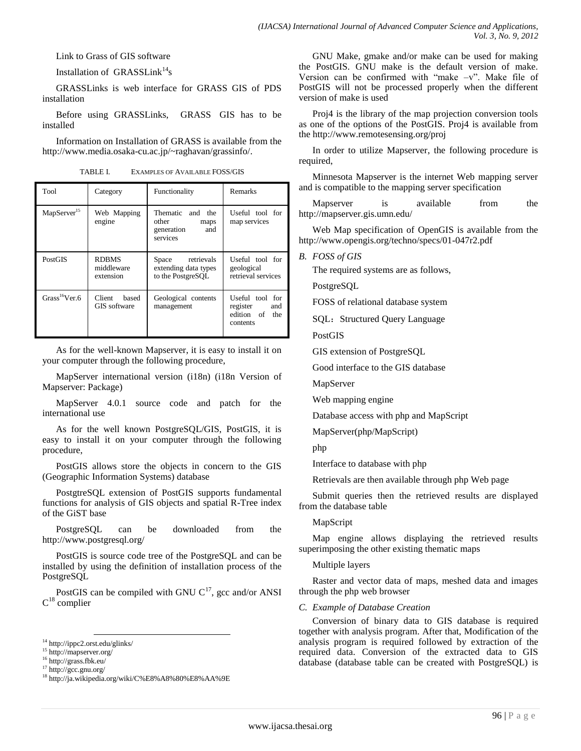Link to Grass of GIS software

Installation of  $GRASSLink^{14}$ s

GRASSLinks is web interface for GRASS GIS of PDS installation

Before using GRASSLinks, GRASS GIS has to be installed

Information on Installation of GRASS is available from the http://www.media.osaka-cu.ac.jp/~raghavan/grassinfo/.

TABLE I. EXAMPLES OF AVAILABLE FOSS/GIS

| Tool                       | Category                                | Functionality                                                         | <b>Remarks</b>                                                   |
|----------------------------|-----------------------------------------|-----------------------------------------------------------------------|------------------------------------------------------------------|
| MapServer <sup>15</sup>    | Web Mapping<br>engine                   | Thematic and<br>the<br>other<br>maps<br>generation<br>and<br>services | Useful tool for<br>map services                                  |
| <b>PostGIS</b>             | <b>RDBMS</b><br>middleware<br>extension | Space retrievals<br>extending data types<br>to the PostgreSOL         | Useful tool for<br>geological<br>retrieval services              |
| Grass <sup>16</sup> Ver. 6 | Client<br>based<br>GIS software         | Geological contents<br>management                                     | Useful tool for<br>register<br>and<br>edition of the<br>contents |

As for the well-known Mapserver, it is easy to install it on your computer through the following procedure,

MapServer international version (i18n) (i18n Version of Mapserver: Package)

MapServer 4.0.1 source code and patch for the international use

As for the well known PostgreSQL/GIS, PostGIS, it is easy to install it on your computer through the following procedure,

PostGIS allows store the objects in concern to the GIS (Geographic Information Systems) database

PostgtreSQL extension of PostGIS supports fundamental functions for analysis of GIS objects and spatial R-Tree index of the GiST base

PostgreSQL can be downloaded from the http://www.postgresql.org/

PostGIS is source code tree of the PostgreSQL and can be installed by using the definition of installation process of the PostgreSQL

PostGIS can be compiled with GNU  $C^{17}$ , gcc and/or ANSI  $C^{18}$  complier

GNU Make, gmake and/or make can be used for making the PostGIS. GNU make is the default version of make. Version can be confirmed with "make  $-v$ ". Make file of PostGIS will not be processed properly when the different version of make is used

Proj4 is the library of the map projection conversion tools as one of the options of the PostGIS. Proj4 is available from the http://www.remotesensing.org/proj

In order to utilize Mapserver, the following procedure is required,

Minnesota Mapserver is the internet Web mapping server and is compatible to the mapping server specification

Mapserver is available from the http://mapserver.gis.umn.edu/

Web Map specification of OpenGIS is available from the http://www.opengis.org/techno/specs/01-047r2.pdf

*B. FOSS of GIS*

The required systems are as follows,

PostgreSQL

FOSS of relational database system

SQL: Structured Query Language

PostGIS

GIS extension of PostgreSQL

Good interface to the GIS database

MapServer

Web mapping engine

Database access with php and MapScript

MapServer(php/MapScript)

php

Interface to database with php

Retrievals are then available through php Web page

Submit queries then the retrieved results are displayed from the database table

### MapScript

Map engine allows displaying the retrieved results superimposing the other existing thematic maps

### Multiple layers

Raster and vector data of maps, meshed data and images through the php web browser

### *C. Example of Database Creation*

Conversion of binary data to GIS database is required together with analysis program. After that, Modification of the analysis program is required followed by extraction of the required data. Conversion of the extracted data to GIS database (database table can be created with PostgreSQL) is

l <sup>14</sup> http://ippc2.orst.edu/glinks/

<sup>15</sup> http://mapserver.org/

<sup>16</sup> http://grass.fbk.eu/

<sup>17</sup> http://gcc.gnu.org/

<sup>18</sup> http://ja.wikipedia.org/wiki/C%E8%A8%80%E8%AA%9E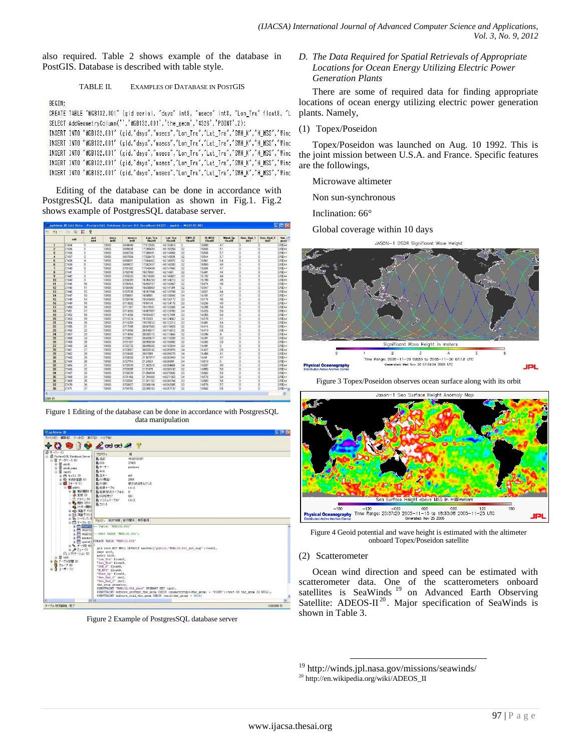also required. Table 2 shows example of the database in PostGIS. Database is described with table style.

## TABLE II. EXAMPLES OF DATABASE IN POSTGIS

## BEGIN:

CREATE TABLE "MGB132.001" (gid serial, "days" int8, "msecs" int8, "Lon\_Tra" float8, "L SELECT AddGeometryColumn('','MGB132.001','the\_geom','4326','POINT',2);

INSERT INTO "MGB132.001" (gid,"days","msecs","Lon\_Tra","Lat\_Tra","SWH\_K","H\_MSS","Wind INSERT INTO "MGB132.001" (gid,"days","msecs","Lon\_Tra","Lat\_Tra","SWH\_K","H\_MSS","Wind INSERT INTO "MGB132.001" (gid,"days","msecs","Lon\_Tra","Lat\_Tra","SWH\_K","H\_MSS","Wind INSERT INTO "MGB132.001" (gid,"days","msecs","Lon\_Tra","Lat\_Tra","SWH\_K","H\_MSS","Wind INSERT INTO "MGB132.001" (gid,"days","msecs","Lon\_Tra","Lat\_Tra","SWH\_K","H\_MSS","Wind

Editing of the database can be done in accordance with PostgresSQL data manipulation as shown in Fig.1. Fig.2 shows example of PostgresSQL database server.

|                         | oid   | eid<br>int4     | davs<br>int8 | msecs<br>int8 | Lon Tra<br>float <sub>8</sub> | Lat Tra<br>float8 | SWH K<br>floatB | H MSS<br>float <sub>B</sub> | Wind Sp<br>float <sub>8</sub> | Geo Bad 1<br>int2   | <b>Geo Bad 2</b><br>int2 | the $\sim$<br>geor        |
|-------------------------|-------|-----------------|--------------|---------------|-------------------------------|-------------------|-----------------|-----------------------------|-------------------------------|---------------------|--------------------------|---------------------------|
| 1                       | 27434 | $\Omega$        | 13983        | 8694549       | 17.112505                     | $-66.150419$      | $\overline{3}$  | 15589                       | 47                            | $\overline{0}$      | $\overline{0}$           | SRID <sub>E4</sub>        |
| $\overline{2}$          | 27435 | Ŧ               | 13983        | 8695635       | 17,250499                     | $-66.150254$      | 32              | 15.545                      | 51                            | $\ddot{\mathbf{0}}$ | $\theta$                 | SRID <sub>z</sub>         |
| $\overline{\mathbf{3}}$ | 27436 | $\overline{c}$  | 13983        | 8696720       | 17,388491                     | $-66.149958$      | 32              | 15535                       | 57                            | $\theta$            | $\theta$                 | SRID=4                    |
| $\overline{A}$          | 27437 | $\overline{3}$  | 13983        | 8697806       | 17526479                      | $-66.149531$      | 32              | 15.544                      | 57                            | $\theta$            | $\theta$                 | SRID=4                    |
| 5                       | 27438 | 4               | 13983        | 8698891       | 17664462                      | $-66.148972$      | 32              | 15.561                      | 54                            | $\bf{0}$            | $\theta$                 | SRID=4                    |
| fi.                     | 27439 | 5               | 13983        | 8699977       | 17802437                      | $-66.148283$      | 32              | 15,593                      | 4.9                           | $\theta$            | $\overline{a}$           | SRID=4                    |
| $\overline{ }$          | 27440 | 6               | 13983        | 8701052       | 17940404                      | $-66.147462$      | 32              | 15.634                      | 47                            | $\overline{0}$      | $\overline{0}$           | SRID=4                    |
| $\mathbf{R}$            | 27441 | $\overline{7}$  | 13983        | 8702148       | 18.078361                     | $-66.14651$       | 32              | 15,681                      | 4.4                           | $\overline{a}$      | $\overline{1}$           | SRID:4                    |
| $\mathbf{Q}$            | 27442 | $\mathbf{R}$    | 13983        | 8703233       | 18,216306                     | $-66.145427$      | 33              | 15.732                      | 46                            | $\Omega$            | $\overline{0}$           | SRID <sub>z</sub>         |
| 10                      | 27443 | $\overline{9}$  | 13983        | 8704319       | 18.354239                     | $-66.144213$      | 32              | 15,798                      | 45                            | $\overline{0}$      | $\overline{0}$           | SRID <sub>14</sub>        |
| 11                      | 27444 | 10              | 13983        | 8705404       | 18.492157                     | $-66.142867$      | 32              | 15.874                      | 48                            | $\Omega$            | $\theta$                 | SRID=4                    |
| 12                      | 27445 | 11              | 13983        | 8706490       | 18.630059                     | $-66.141391$      | 32              | 15947                       | 5                             | $\overline{0}$      | $\overline{0}$           | <b>SRID</b> E4            |
| 13                      | 27446 | 12              | 13983        | 8707575       | 18.767944                     | $-66.139784$      | 33              | 16.021                      | 44                            | $\theta$            | $\ddot{\phantom{0}}$     | <b>SRID</b> <sub>E</sub>  |
| 14                      | 27447 | 13              | 13983        | 8708661       | 18.90581                      | $-66.138046$      | 34              | 16101                       | 47                            | $\Omega$            | $\overline{0}$           | SRID=4                    |
| 15                      | 27448 | 14              | 13983        | 8709746       | 19.043656                     | $-66.136177$      | 33              | 16174                       | 45                            | $\theta$            | $\overline{0}$           | SRID <sub>14</sub>        |
| 16                      | 27449 | 15              | 13983        | 8710832       | 1918148                       | $-66.134176$      | 33              | 16.236                      | 49                            | $\Omega$            | $\overline{0}$           | SRID=4                    |
| 17                      | 27450 | 16              | 13983        | 8711917       | 19.319281                     | $-66.132045$      | 3.4             | 16,285                      | 56                            | $\overline{0}$      | $\overline{0}$           | SRID=4                    |
| 18                      | 27451 | 17              | 13983        | 8713003       | 19.457057                     | $-66.129783$      | 34              | 16326                       | 56                            | $\bf{0}$            | $\overline{0}$           | SRID=4                    |
| 19                      | 27452 | 18              | 13983        | 8714088       | 19594807                      | $-66.127391$      | 33              | 16.355                      | 56                            | $\overline{0}$      | $\overline{0}$           | SRID=4                    |
| 20                      | 27453 | 19              | 13983        | 8715174       | 19.73253                      | $-66.124867$      | 32              | 16,378                      | 61                            | $\theta$            | $\ddot{\mathbf{0}}$      | SRID=4                    |
| 21                      | 27454 | 20              | 13983        | 8716259       | 19870223                      | $-66.122213$      | 33              | 16,401                      | 64                            | $\overline{0}$      | $\overline{0}$           | SRID <sub>z</sub>         |
| 22                      | 27455 | 21              | 13983        | 8717345       | 20.007996                     | $-66.119428$      | 32              | 16.414                      | 53                            | $\bf{0}$            | $\theta$                 | SRID+4                    |
| 23                      | 27456 | $\overline{22}$ | 13983        | 8718430       | 20145517                      | $-66.116512$      | 35              | 16.413                      | 55                            | $\theta$            | $\overline{0}$           | SRID <sub>14</sub>        |
| 24                      | 27457 | 23              | 13983        | 8719516       | 20,283115                     | $-66.113466$      | 32              | 16,396                      | $\overline{a}$                | $\Omega$            | $\Omega$                 | SRID#                     |
| 25                      | 27458 | 24              | 13983        | 8720601       | 20.420677                     | $-66.110289$      | 33              | 16.391                      | 32                            | $\overline{0}$      | $\theta$                 | SRID <sub>z</sub>         |
| 26                      | 27459 | 25              | 13983        | 8721687       | 20.558204                     | $-66.106982$      | 32              | 16.392                      | 28                            | $\overline{0}$      | $\overline{0}$           | <b>SRID</b> <sub>E4</sub> |
| 27                      | 27460 | 26              | 13983        | 8722772       | 20 69 569 2                   | $-66.103544$      | 33              | 16.401                      | $\overline{\mathbf{3}}$       | $\ddot{\mathbf{0}}$ | $\ddot{\mathbf{0}}$      | SRID <sub>E</sub>         |
| 28                      | 27461 | 27              | 13983        | 8723857       | 20.833142                     | $-66.099976$      | 34              | 16427                       | 35                            | $\Omega$            | $\overline{0}$           | SRID <sub>E</sub>         |
| 29                      | 27462 | 28              | 13983        | 8724943       | 2097055                       | $-66.096278$      | 3.4             | 16,456                      | 4.1                           | $\theta$            | $\theta$                 | SRID:4                    |
| 30                      | 27463 | $\overline{29}$ | 13983        | 8726028       | 21107917                      | $-66.092449$      | 34              | 1649                        | 47                            | $\overline{0}$      | $\overline{0}$           | SRID=4                    |
| 31                      | 27464 | 30              | 13983        | 8727114       | 21,24524                      | $-66.08849$       | 3.4             | 16,518                      | 5                             | $\overline{0}$      | $\overline{0}$           | SRID=4                    |
| 32                      | 27465 | 31              | 13983        | 8728199       | 21 38 25 18                   | $-66.084401$      | 34              | 16537                       | 49                            | $\bf{0}$            | $\overline{0}$           | SRID=4                    |
| 33                      | 27466 | 32              | 13983        | 8729285       | 21,51975                      | $-66.080182$      | 32              | 16.553                      | 5.8                           | $\overline{a}$      | $\overline{ }$           | SRIDH <sub>®</sub>        |
| 34                      | 27467 | 33              | 13983        | 8730370       | 21,656934                     | $-66.075832$      | 33              | 16562                       | 5.6                           | $\bf{0}$            | $\theta$                 | SRID=4                    |
| 35                      | 27468 | 34              | 13983        | 8731456       | 21,794068                     | $-66.071353$      | 3.4             | 16.576                      | 56                            | $\overline{0}$      | $\overline{0}$           | SRID <sub>z</sub> /       |
| 36                      | 27469 | 35              | 13983        | 8732541       | 21.931152                     | $-66.066744$      | 33              | 16.583                      | 56                            | $\Omega$            | $\mathbf{0}$             | <b>SRIDH</b>              |
| 37                      | 27470 | 36              | 13983        | 8733627       | 22.068184                     | $-66.062005$      | 33              | 16.576                      | 5.7                           | $\bf{0}$            | $\overline{0}$           | SRID <sub>z</sub> /       |
| 38                      | 27471 | 37              | 13983        | 8734712       | 22205163                      | $-66.057137$      | 32              | 16562                       | 55                            | $\theta$            | $\theta$                 | SRID=4 V                  |

Figure 1 Editing of the database can be done in accordance with PostgresSQL data manipulation



Figure 2 Example of PostgresSQL database server

*D. The Data Required for Spatial Retrievals of Appropriate Locations for Ocean Energy Utilizing Electric Power Generation Plants*

There are some of required data for finding appropriate locations of ocean energy utilizing electric power generation plants. Namely,

(1) Topex/Poseidon

Topex/Poseidon was launched on Aug. 10 1992. This is the joint mission between U.S.A. and France. Specific features are the followings,

Microwave altimeter

Non sun-synchronous

Inclination: 66°

Global coverage within 10 days



Figure 3 Topex/Poseidon observes ocean surface along with its orbit



Figure 4 Geoid potential and wave height is estimated with the altimeter onboard Topex/Poseidon satellite

# (2) Scatterometer

Ocean wind direction and speed can be estimated with scatterometer data. One of the scatterometers onboard satellites is SeaWinds<sup>19</sup> on Advanced Earth Observing Satellite: ADEOS-II<sup>20</sup>. Major specification of SeaWinds is shown in Table 3.

<sup>19</sup> http://winds.jpl.nasa.gov/missions/seawinds/

l

<sup>20</sup> http://en.wikipedia.org/wiki/ADEOS\_II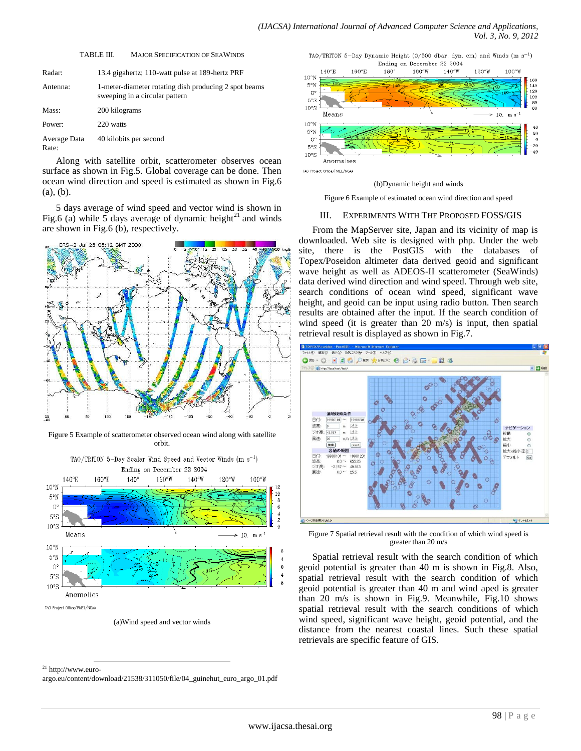| Radar:                | 13.4 gigahertz; 110-watt pulse at 189-hertz PRF                                         |
|-----------------------|-----------------------------------------------------------------------------------------|
| Antenna:              | 1-meter-diameter rotating dish producing 2 spot beams<br>sweeping in a circular pattern |
| Mass:                 | 200 kilograms                                                                           |
| Power:                | 220 watts                                                                               |
| Average Data<br>Rate: | 40 kilobits per second                                                                  |
|                       | きんせい しゅうしん しゅうしゅう しゅうしゅう ほうしん しゅうしゅう しゅうしゅう しゅうしゅう                                      |

TABLE III. MAJOR SPECIFICATION OF SEAWINDS

Along with satellite orbit, scatterometer observes ocean surface as shown in Fig.5. Global coverage can be done. Then ocean wind direction and speed is estimated as shown in Fig.6 (a), (b).

5 days average of wind speed and vector wind is shown in Fig.6 (a) while 5 days average of dynamic height<sup>21</sup> and winds are shown in Fig.6 (b), respectively.



Figure 5 Example of scatterometer observed ocean wind along with satellite orbit.



<sup>(</sup>a)Wind speed and vector winds



#### (b)Dynamic height and winds

Figure 6 Example of estimated ocean wind direction and speed

#### III. EXPERIMENTS WITH THE PROPOSED FOSS/GIS

From the MapServer site, Japan and its vicinity of map is downloaded. Web site is designed with php. Under the web site, there is the PostGIS with the databases of Topex/Poseidon altimeter data derived geoid and significant wave height as well as ADEOS-II scatterometer (SeaWinds) data derived wind direction and wind speed. Through web site, search conditions of ocean wind speed, significant wave height, and geoid can be input using radio button. Then search results are obtained after the input. If the search condition of wind speed (it is greater than 20 m/s) is input, then spatial retrieval result is displayed as shown in Fig.7.



Figure 7 Spatial retrieval result with the condition of which wind speed is greater than 20 m/s

Spatial retrieval result with the search condition of which geoid potential is greater than 40 m is shown in Fig.8. Also, spatial retrieval result with the search condition of which geoid potential is greater than 40 m and wind aped is greater than 20 m/s is shown in Fig.9. Meanwhile, Fig.10 shows spatial retrieval result with the search conditions of which wind speed, significant wave height, geoid potential, and the distance from the nearest coastal lines. Such these spatial retrievals are specific feature of GIS.

 $^{21}$  http://www.euro-

l

argo.eu/content/download/21538/311050/file/04\_guinehut\_euro\_argo\_01.pdf